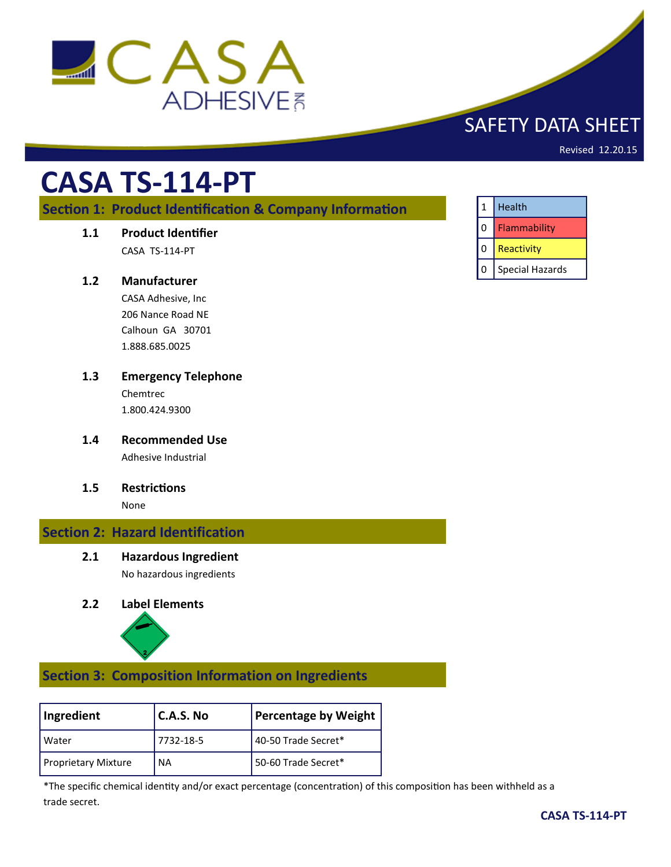

## SAFETY DATA SHEET

Revised 12.20.15

# **CASA TS-114-PT**

## **Section 1: Product Identification & Company Information**

**1.1 Product Identifier**

CASA TS-114-PT

#### **1.2 Manufacturer**

CASA Adhesive, Inc 206 Nance Road NE Calhoun GA 30701 1.888.685.0025

- **1.3 Emergency Telephone** Chemtrec 1.800.424.9300
- **1.4 Recommended Use** Adhesive Industrial
- **1.5 Restrictions**

None

## **Section 2: Hazard Identification**

**2.1 Hazardous Ingredient**

No hazardous ingredients

### **2.2 Label Elements**



## **Section 3: Composition Information on Ingredients**

| Ingredient                 | <b>C.A.S. No</b> | <b>Percentage by Weight</b> |
|----------------------------|------------------|-----------------------------|
| l Water                    | 7732-18-5        | 40-50 Trade Secret*         |
| <b>Proprietary Mixture</b> | <b>NA</b>        | 50-60 Trade Secret*         |

\*The specific chemical identity and/or exact percentage (concentration) of this composition has been withheld as a trade secret.

| $\mathbf{1}$ | Health                 |
|--------------|------------------------|
| 0            | Flammability           |
|              | Reactivity             |
| 0            | <b>Special Hazards</b> |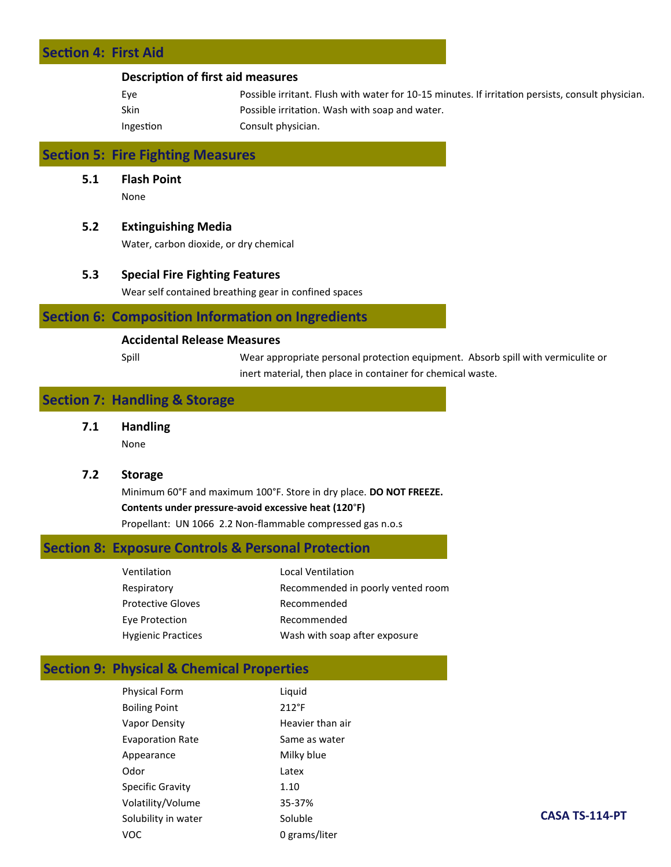## **Section 4: First Aid**

#### **Description of first aid measures**

| Eye       | Possible irritant. Flush with water for 10-15 minutes. If irritation persists, consult physician. |
|-----------|---------------------------------------------------------------------------------------------------|
| Skin      | Possible irritation. Wash with soap and water.                                                    |
| Ingestion | Consult physician.                                                                                |

## **Section 5: Fire Fighting Measures**

**5.1 Flash Point**

None

#### **5.2 Extinguishing Media**

Water, carbon dioxide, or dry chemical

#### **5.3 Special Fire Fighting Features**

Wear self contained breathing gear in confined spaces

#### **Section 6: Composition Information on Ingredients**

#### **Accidental Release Measures**

Spill Wear appropriate personal protection equipment. Absorb spill with vermiculite or inert material, then place in container for chemical waste.

## **Section 7: Handling & Storage**

**7.1 Handling**

None

#### **7.2 Storage**

Minimum 60°F and maximum 100°F. Store in dry place. **DO NOT FREEZE. Contents under pressure-avoid excessive heat (120**°**F)** Propellant: UN 1066 2.2 Non-flammable compressed gas n.o.s

### **Section 8: Exposure Controls & Personal Protection**

| Ventilation               | <b>Local Ventilation</b>          |
|---------------------------|-----------------------------------|
| Respiratory               | Recommended in poorly vented room |
| <b>Protective Gloves</b>  | Recommended                       |
| Eye Protection            | Recommended                       |
| <b>Hygienic Practices</b> | Wash with soap after exposure     |

## **Section 9: Physical & Chemical Properties**

| <b>Physical Form</b>    | Liquid           |
|-------------------------|------------------|
| <b>Boiling Point</b>    | $212^{\circ}F$   |
| Vapor Density           | Heavier than air |
| <b>Evaporation Rate</b> | Same as water    |
| Appearance              | Milky blue       |
| Odor                    | Latex            |
| <b>Specific Gravity</b> | 1.10             |
| Volatility/Volume       | 35-37%           |
| Solubility in water     | Soluble          |
| voc                     | 0 grams/liter    |
|                         |                  |